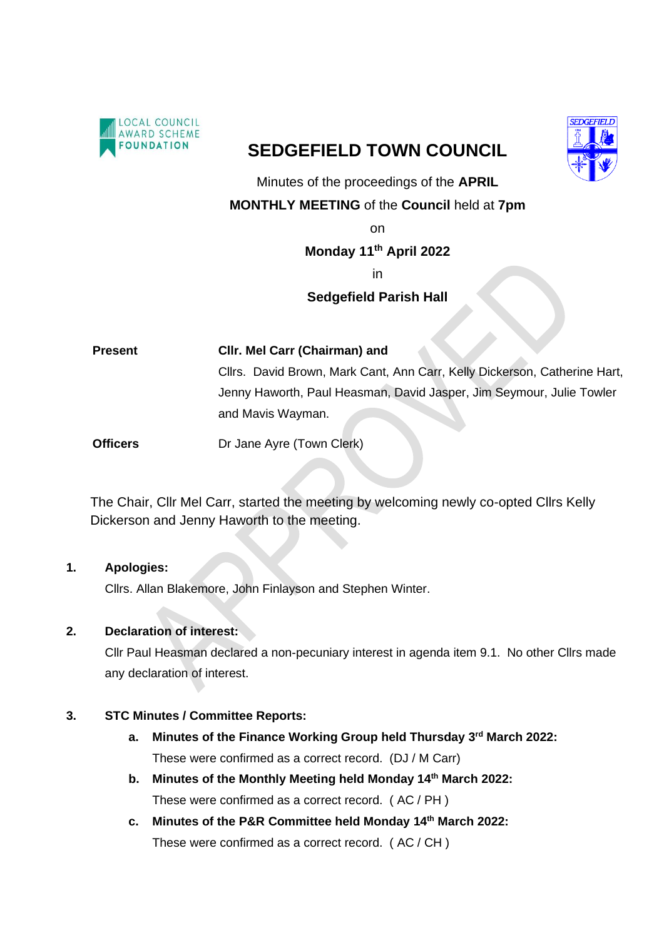

# **SEDGEFIELD TOWN COUNCIL**



Minutes of the proceedings of the **APRIL** 

## **MONTHLY MEETING** of the **Council** held at **7pm**

on

## **Monday 11 th April 2022**

in

## **Sedgefield Parish Hall**

**Present Cllr. Mel Carr (Chairman) and**  Cllrs. David Brown, Mark Cant, Ann Carr, Kelly Dickerson, Catherine Hart, Jenny Haworth, Paul Heasman, David Jasper, Jim Seymour, Julie Towler and Mavis Wayman.

**Officers** Dr Jane Ayre (Town Clerk)

The Chair, Cllr Mel Carr, started the meeting by welcoming newly co-opted Cllrs Kelly Dickerson and Jenny Haworth to the meeting.

## **1. Apologies:**

Cllrs. Allan Blakemore, John Finlayson and Stephen Winter.

## **2. Declaration of interest:**

Cllr Paul Heasman declared a non-pecuniary interest in agenda item 9.1. No other Cllrs made any declaration of interest.

## **3. STC Minutes / Committee Reports:**

- **a. Minutes of the Finance Working Group held Thursday 3rd March 2022:** These were confirmed as a correct record. (DJ / M Carr)
- **b. Minutes of the Monthly Meeting held Monday 14 th March 2022:** These were confirmed as a correct record. ( AC / PH )
- **c. Minutes of the P&R Committee held Monday 14 th March 2022:** These were confirmed as a correct record. ( AC / CH )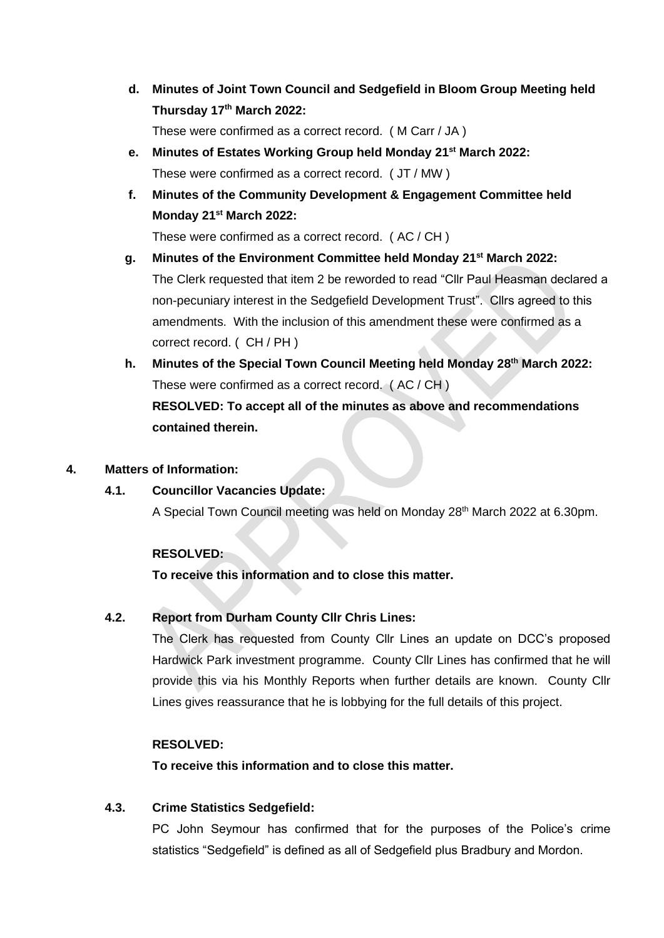**d. Minutes of Joint Town Council and Sedgefield in Bloom Group Meeting held Thursday 17th March 2022:**

These were confirmed as a correct record. ( M Carr / JA )

- **e. Minutes of Estates Working Group held Monday 21st March 2022:** These were confirmed as a correct record. ( JT / MW )
- **f. Minutes of the Community Development & Engagement Committee held Monday 21st March 2022:**

These were confirmed as a correct record. ( AC / CH )

- **g. Minutes of the Environment Committee held Monday 21st March 2022:** The Clerk requested that item 2 be reworded to read "Cllr Paul Heasman declared a non-pecuniary interest in the Sedgefield Development Trust". Cllrs agreed to this amendments. With the inclusion of this amendment these were confirmed as a correct record. ( CH / PH )
- **h. Minutes of the Special Town Council Meeting held Monday 28 th March 2022:** These were confirmed as a correct record. ( AC / CH ) **RESOLVED: To accept all of the minutes as above and recommendations contained therein.**

### **4. Matters of Information:**

## **4.1. Councillor Vacancies Update:**

A Special Town Council meeting was held on Monday 28th March 2022 at 6.30pm.

## **RESOLVED:**

**To receive this information and to close this matter.**

## **4.2. Report from Durham County Cllr Chris Lines:**

The Clerk has requested from County Cllr Lines an update on DCC's proposed Hardwick Park investment programme. County Cllr Lines has confirmed that he will provide this via his Monthly Reports when further details are known. County Cllr Lines gives reassurance that he is lobbying for the full details of this project.

## **RESOLVED:**

**To receive this information and to close this matter.**

## **4.3. Crime Statistics Sedgefield:**

PC John Seymour has confirmed that for the purposes of the Police's crime statistics "Sedgefield" is defined as all of Sedgefield plus Bradbury and Mordon.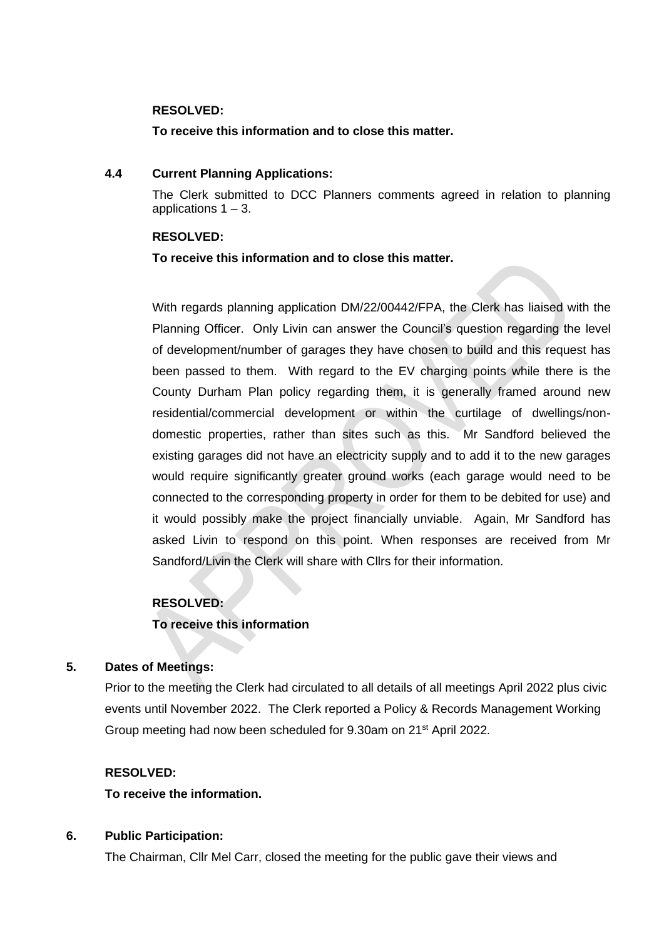### **RESOLVED:**

### **To receive this information and to close this matter.**

#### **4.4 Current Planning Applications:**

The Clerk submitted to DCC Planners comments agreed in relation to planning applications  $1 - 3$ .

#### **RESOLVED:**

### **To receive this information and to close this matter.**

With regards planning application DM/22/00442/FPA, the Clerk has liaised with the Planning Officer. Only Livin can answer the Council's question regarding the level of development/number of garages they have chosen to build and this request has been passed to them. With regard to the EV charging points while there is the County Durham Plan policy regarding them, it is generally framed around new residential/commercial development or within the curtilage of dwellings/nondomestic properties, rather than sites such as this. Mr Sandford believed the existing garages did not have an electricity supply and to add it to the new garages would require significantly greater ground works (each garage would need to be connected to the corresponding property in order for them to be debited for use) and it would possibly make the project financially unviable. Again, Mr Sandford has asked Livin to respond on this point. When responses are received from Mr Sandford/Livin the Clerk will share with Cllrs for their information.

### **RESOLVED:**

### **To receive this information**

### **5. Dates of Meetings:**

Prior to the meeting the Clerk had circulated to all details of all meetings April 2022 plus civic events until November 2022. The Clerk reported a Policy & Records Management Working Group meeting had now been scheduled for 9.30am on 21st April 2022.

### **RESOLVED:**

### **To receive the information.**

### **6. Public Participation:**

The Chairman, Cllr Mel Carr, closed the meeting for the public gave their views and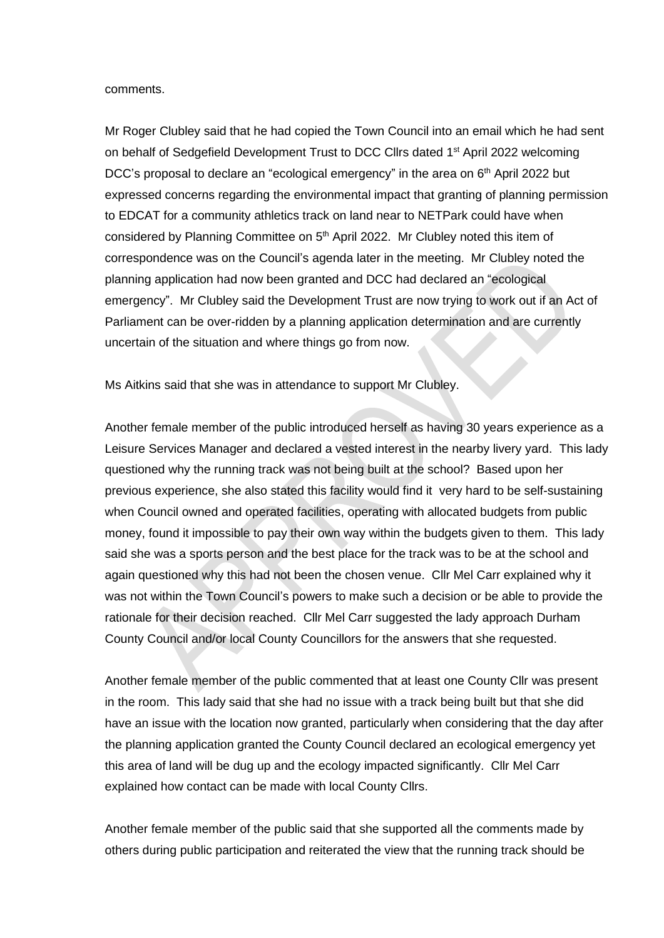#### comments.

Mr Roger Clubley said that he had copied the Town Council into an email which he had sent on behalf of Sedgefield Development Trust to DCC Cllrs dated 1<sup>st</sup> April 2022 welcoming DCC's proposal to declare an "ecological emergency" in the area on  $6<sup>th</sup>$  April 2022 but expressed concerns regarding the environmental impact that granting of planning permission to EDCAT for a community athletics track on land near to NETPark could have when considered by Planning Committee on 5<sup>th</sup> April 2022. Mr Clubley noted this item of correspondence was on the Council's agenda later in the meeting. Mr Clubley noted the planning application had now been granted and DCC had declared an "ecological emergency". Mr Clubley said the Development Trust are now trying to work out if an Act of Parliament can be over-ridden by a planning application determination and are currently uncertain of the situation and where things go from now.

Ms Aitkins said that she was in attendance to support Mr Clubley.

Another female member of the public introduced herself as having 30 years experience as a Leisure Services Manager and declared a vested interest in the nearby livery yard. This lady questioned why the running track was not being built at the school? Based upon her previous experience, she also stated this facility would find it very hard to be self-sustaining when Council owned and operated facilities, operating with allocated budgets from public money, found it impossible to pay their own way within the budgets given to them. This lady said she was a sports person and the best place for the track was to be at the school and again questioned why this had not been the chosen venue. Cllr Mel Carr explained why it was not within the Town Council's powers to make such a decision or be able to provide the rationale for their decision reached. Cllr Mel Carr suggested the lady approach Durham County Council and/or local County Councillors for the answers that she requested.

Another female member of the public commented that at least one County Cllr was present in the room. This lady said that she had no issue with a track being built but that she did have an issue with the location now granted, particularly when considering that the day after the planning application granted the County Council declared an ecological emergency yet this area of land will be dug up and the ecology impacted significantly. Cllr Mel Carr explained how contact can be made with local County Cllrs.

Another female member of the public said that she supported all the comments made by others during public participation and reiterated the view that the running track should be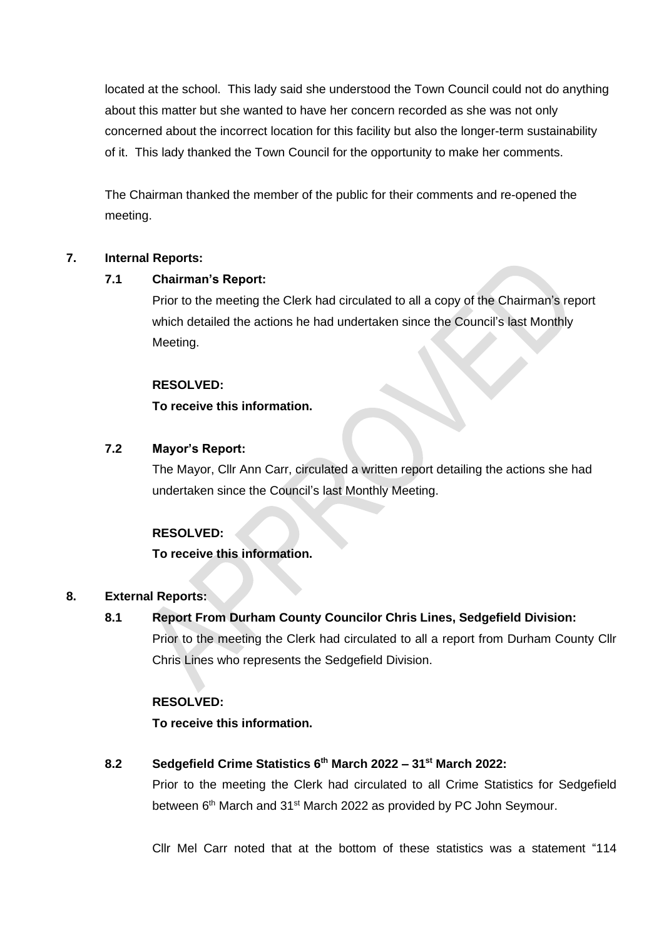located at the school. This lady said she understood the Town Council could not do anything about this matter but she wanted to have her concern recorded as she was not only concerned about the incorrect location for this facility but also the longer-term sustainability of it. This lady thanked the Town Council for the opportunity to make her comments.

The Chairman thanked the member of the public for their comments and re-opened the meeting.

## **7. Internal Reports:**

## **7.1 Chairman's Report:**

Prior to the meeting the Clerk had circulated to all a copy of the Chairman's report which detailed the actions he had undertaken since the Council's last Monthly Meeting.

## **RESOLVED:**

## **To receive this information.**

## **7.2 Mayor's Report:**

The Mayor, Cllr Ann Carr, circulated a written report detailing the actions she had undertaken since the Council's last Monthly Meeting.

## **RESOLVED:**

## **To receive this information.**

## **8. External Reports:**

## **8.1 Report From Durham County Councilor Chris Lines, Sedgefield Division:**

Prior to the meeting the Clerk had circulated to all a report from Durham County Cllr Chris Lines who represents the Sedgefield Division.

## **RESOLVED:**

**To receive this information.**

## **8.2 Sedgefield Crime Statistics 6 th March 2022 – 31st March 2022:**

Prior to the meeting the Clerk had circulated to all Crime Statistics for Sedgefield between 6<sup>th</sup> March and 31<sup>st</sup> March 2022 as provided by PC John Seymour.

Cllr Mel Carr noted that at the bottom of these statistics was a statement "114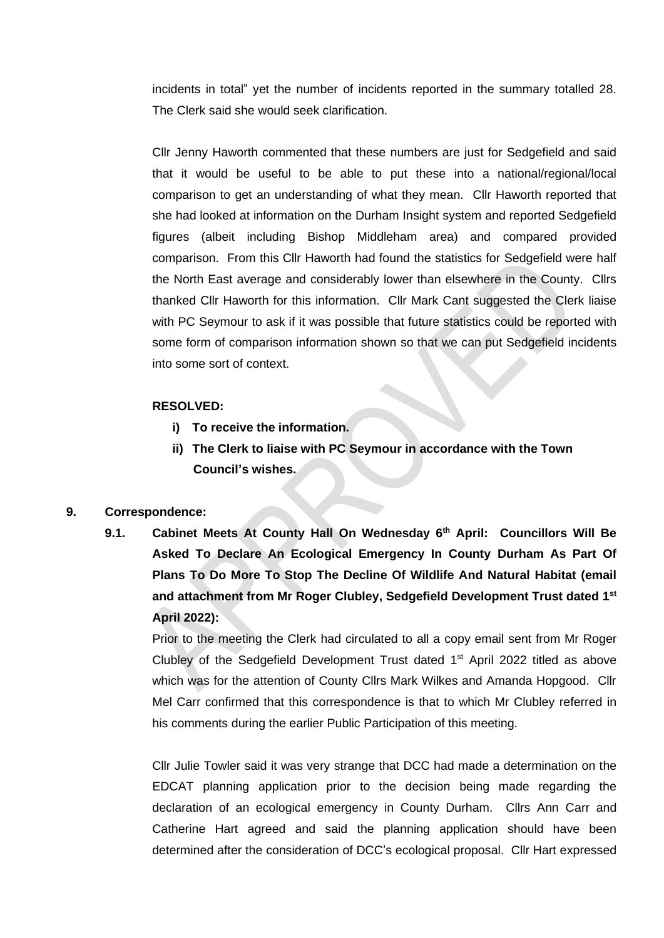incidents in total" yet the number of incidents reported in the summary totalled 28. The Clerk said she would seek clarification.

Cllr Jenny Haworth commented that these numbers are just for Sedgefield and said that it would be useful to be able to put these into a national/regional/local comparison to get an understanding of what they mean. Cllr Haworth reported that she had looked at information on the Durham Insight system and reported Sedgefield figures (albeit including Bishop Middleham area) and compared provided comparison. From this Cllr Haworth had found the statistics for Sedgefield were half the North East average and considerably lower than elsewhere in the County. Cllrs thanked Cllr Haworth for this information. Cllr Mark Cant suggested the Clerk liaise with PC Seymour to ask if it was possible that future statistics could be reported with some form of comparison information shown so that we can put Sedgefield incidents into some sort of context.

### **RESOLVED:**

- **i) To receive the information.**
- **ii) The Clerk to liaise with PC Seymour in accordance with the Town Council's wishes.**

### **9. Correspondence:**

**9.1. Cabinet Meets At County Hall On Wednesday 6th April: Councillors Will Be Asked To Declare An Ecological Emergency In County Durham As Part Of Plans To Do More To Stop The Decline Of Wildlife And Natural Habitat (email and attachment from Mr Roger Clubley, Sedgefield Development Trust dated 1st April 2022):**

Prior to the meeting the Clerk had circulated to all a copy email sent from Mr Roger Clubley of the Sedgefield Development Trust dated  $1<sup>st</sup>$  April 2022 titled as above which was for the attention of County Cllrs Mark Wilkes and Amanda Hopgood. Cllr Mel Carr confirmed that this correspondence is that to which Mr Clubley referred in his comments during the earlier Public Participation of this meeting.

Cllr Julie Towler said it was very strange that DCC had made a determination on the EDCAT planning application prior to the decision being made regarding the declaration of an ecological emergency in County Durham. Cllrs Ann Carr and Catherine Hart agreed and said the planning application should have been determined after the consideration of DCC's ecological proposal. Cllr Hart expressed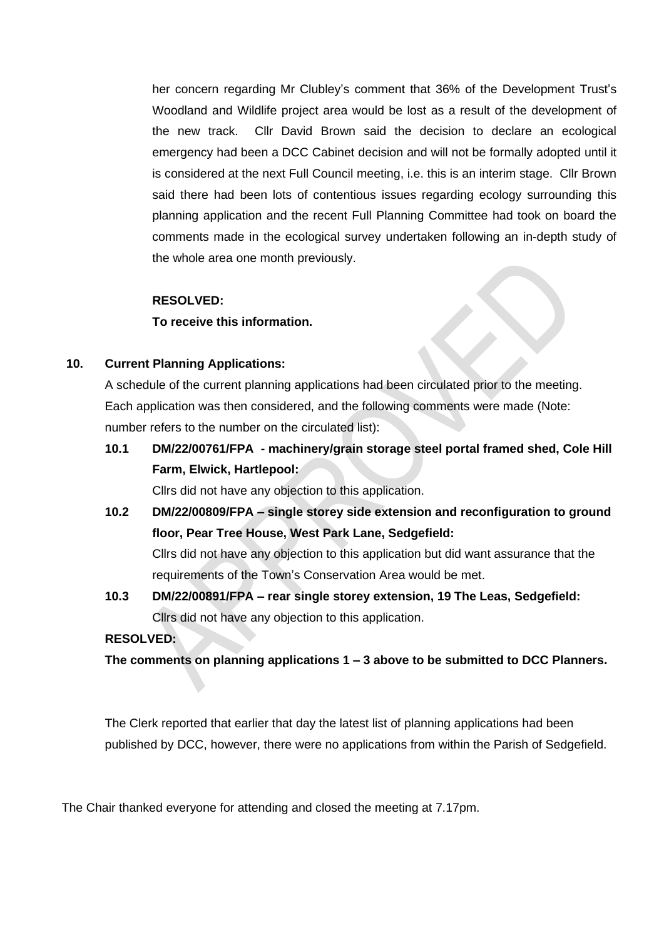her concern regarding Mr Clubley's comment that 36% of the Development Trust's Woodland and Wildlife project area would be lost as a result of the development of the new track. Cllr David Brown said the decision to declare an ecological emergency had been a DCC Cabinet decision and will not be formally adopted until it is considered at the next Full Council meeting, i.e. this is an interim stage. Cllr Brown said there had been lots of contentious issues regarding ecology surrounding this planning application and the recent Full Planning Committee had took on board the comments made in the ecological survey undertaken following an in-depth study of the whole area one month previously.

### **RESOLVED:**

**To receive this information.**

### **10. Current Planning Applications:**

A schedule of the current planning applications had been circulated prior to the meeting. Each application was then considered, and the following comments were made (Note: number refers to the number on the circulated list):

**10.1 DM/22/00761/FPA - machinery/grain storage steel portal framed shed, Cole Hill Farm, Elwick, Hartlepool:** 

Cllrs did not have any objection to this application.

**10.2 DM/22/00809/FPA – single storey side extension and reconfiguration to ground floor, Pear Tree House, West Park Lane, Sedgefield:** 

Cllrs did not have any objection to this application but did want assurance that the requirements of the Town's Conservation Area would be met.

**10.3 DM/22/00891/FPA – rear single storey extension, 19 The Leas, Sedgefield:**  Cllrs did not have any objection to this application.

### **RESOLVED:**

**The comments on planning applications 1 – 3 above to be submitted to DCC Planners.** 

The Clerk reported that earlier that day the latest list of planning applications had been published by DCC, however, there were no applications from within the Parish of Sedgefield.

The Chair thanked everyone for attending and closed the meeting at 7.17pm.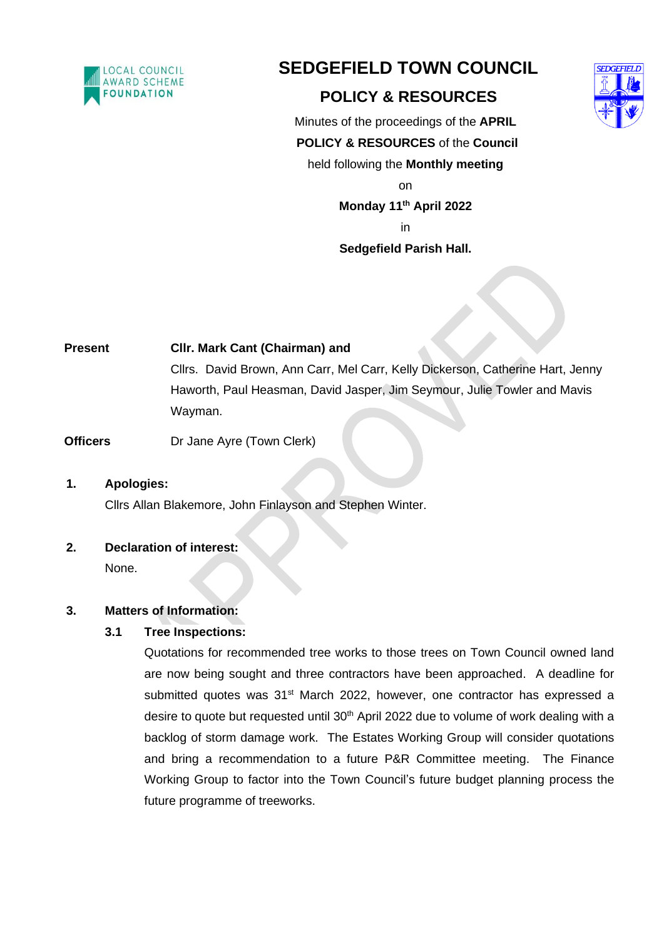

# **SEDGEFIELD TOWN COUNCIL**

## **POLICY & RESOURCES**



Minutes of the proceedings of the **APRIL POLICY & RESOURCES** of the **Council**  held following the **Monthly meeting** on

**Monday 11 th April 2022**

in

## **Sedgefield Parish Hall.**

**Present Cllr. Mark Cant (Chairman) and** Cllrs. David Brown, Ann Carr, Mel Carr, Kelly Dickerson, Catherine Hart, Jenny Haworth, Paul Heasman, David Jasper, Jim Seymour, Julie Towler and Mavis Wayman.

**Officers** Dr Jane Ayre (Town Clerk)

## **1. Apologies:**

Cllrs Allan Blakemore, John Finlayson and Stephen Winter.

## **2. Declaration of interest:**

None.

## **3. Matters of Information:**

## **3.1 Tree Inspections:**

Quotations for recommended tree works to those trees on Town Council owned land are now being sought and three contractors have been approached. A deadline for submitted quotes was 31<sup>st</sup> March 2022, however, one contractor has expressed a desire to quote but requested until 30<sup>th</sup> April 2022 due to volume of work dealing with a backlog of storm damage work. The Estates Working Group will consider quotations and bring a recommendation to a future P&R Committee meeting. The Finance Working Group to factor into the Town Council's future budget planning process the future programme of treeworks.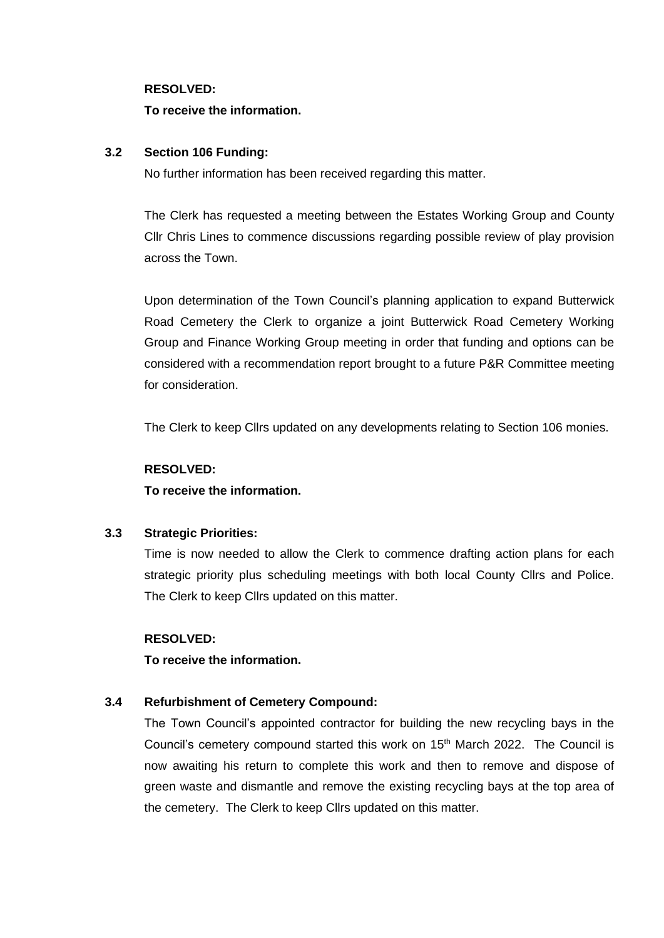#### **RESOLVED:**

### **To receive the information.**

### **3.2 Section 106 Funding:**

No further information has been received regarding this matter.

The Clerk has requested a meeting between the Estates Working Group and County Cllr Chris Lines to commence discussions regarding possible review of play provision across the Town.

Upon determination of the Town Council's planning application to expand Butterwick Road Cemetery the Clerk to organize a joint Butterwick Road Cemetery Working Group and Finance Working Group meeting in order that funding and options can be considered with a recommendation report brought to a future P&R Committee meeting for consideration.

The Clerk to keep Cllrs updated on any developments relating to Section 106 monies.

### **RESOLVED:**

**To receive the information.**

## **3.3 Strategic Priorities:**

Time is now needed to allow the Clerk to commence drafting action plans for each strategic priority plus scheduling meetings with both local County Cllrs and Police. The Clerk to keep Cllrs updated on this matter.

### **RESOLVED:**

**To receive the information.**

## **3.4 Refurbishment of Cemetery Compound:**

The Town Council's appointed contractor for building the new recycling bays in the Council's cemetery compound started this work on 15<sup>th</sup> March 2022. The Council is now awaiting his return to complete this work and then to remove and dispose of green waste and dismantle and remove the existing recycling bays at the top area of the cemetery. The Clerk to keep Cllrs updated on this matter.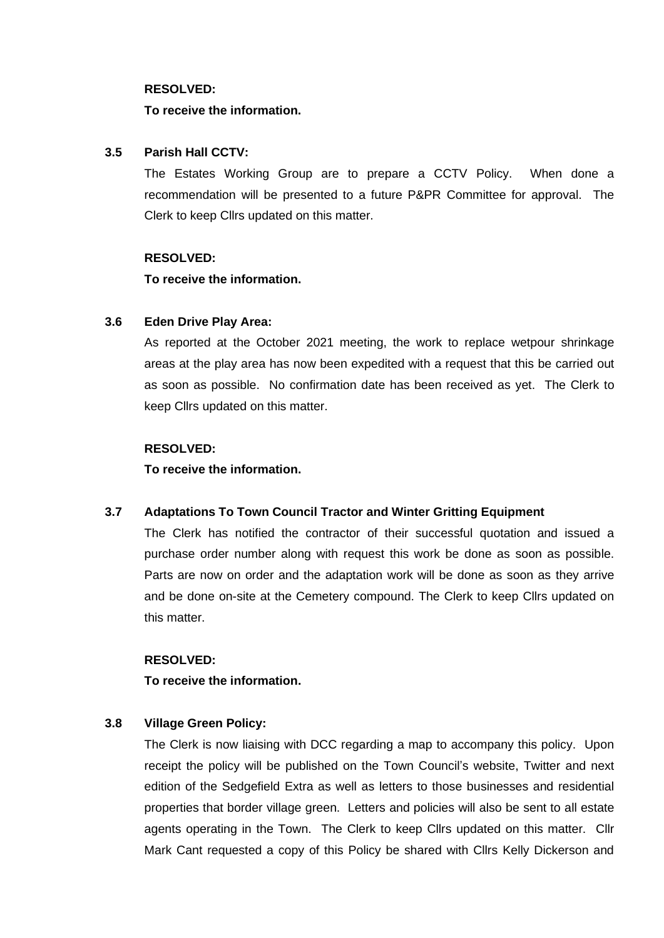#### **RESOLVED:**

### **To receive the information.**

### **3.5 Parish Hall CCTV:**

The Estates Working Group are to prepare a CCTV Policy. When done a recommendation will be presented to a future P&PR Committee for approval. The Clerk to keep Cllrs updated on this matter.

### **RESOLVED:**

**To receive the information.**

## **3.6 Eden Drive Play Area:**

As reported at the October 2021 meeting, the work to replace wetpour shrinkage areas at the play area has now been expedited with a request that this be carried out as soon as possible. No confirmation date has been received as yet. The Clerk to keep Cllrs updated on this matter.

### **RESOLVED:**

**To receive the information.**

## **3.7 Adaptations To Town Council Tractor and Winter Gritting Equipment**

The Clerk has notified the contractor of their successful quotation and issued a purchase order number along with request this work be done as soon as possible. Parts are now on order and the adaptation work will be done as soon as they arrive and be done on-site at the Cemetery compound. The Clerk to keep Cllrs updated on this matter.

### **RESOLVED:**

**To receive the information.**

## **3.8 Village Green Policy:**

The Clerk is now liaising with DCC regarding a map to accompany this policy. Upon receipt the policy will be published on the Town Council's website, Twitter and next edition of the Sedgefield Extra as well as letters to those businesses and residential properties that border village green. Letters and policies will also be sent to all estate agents operating in the Town. The Clerk to keep Cllrs updated on this matter. Cllr Mark Cant requested a copy of this Policy be shared with Cllrs Kelly Dickerson and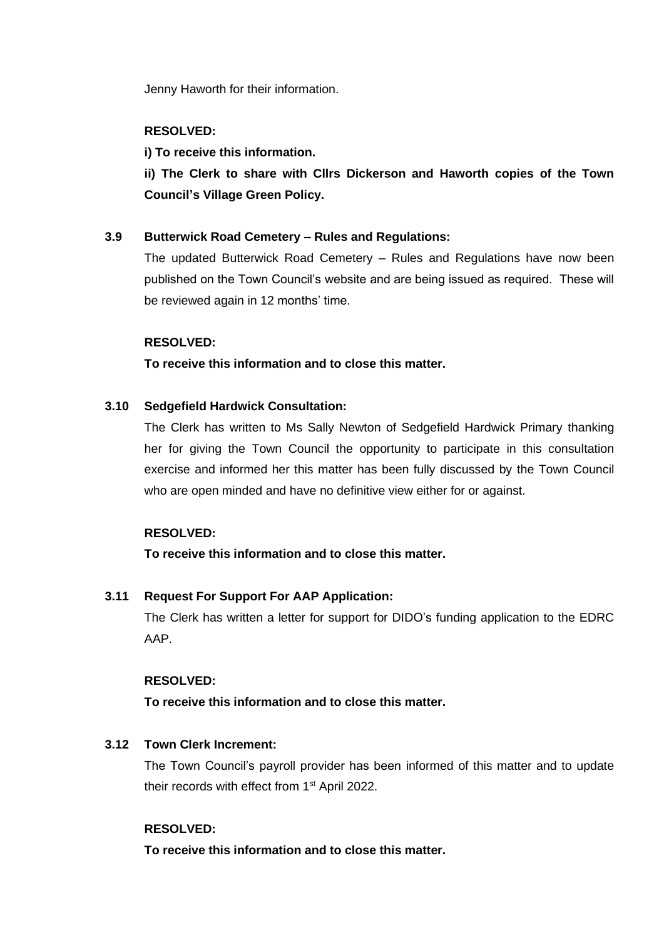Jenny Haworth for their information.

## **RESOLVED:**

### **i) To receive this information.**

**ii) The Clerk to share with Cllrs Dickerson and Haworth copies of the Town Council's Village Green Policy.** 

### **3.9 Butterwick Road Cemetery – Rules and Regulations:**

The updated Butterwick Road Cemetery – Rules and Regulations have now been published on the Town Council's website and are being issued as required. These will be reviewed again in 12 months' time.

### **RESOLVED:**

### **To receive this information and to close this matter.**

### **3.10 Sedgefield Hardwick Consultation:**

The Clerk has written to Ms Sally Newton of Sedgefield Hardwick Primary thanking her for giving the Town Council the opportunity to participate in this consultation exercise and informed her this matter has been fully discussed by the Town Council who are open minded and have no definitive view either for or against.

### **RESOLVED:**

**To receive this information and to close this matter.**

## **3.11 Request For Support For AAP Application:**

The Clerk has written a letter for support for DIDO's funding application to the EDRC AAP.

### **RESOLVED:**

**To receive this information and to close this matter.**

## **3.12 Town Clerk Increment:**

The Town Council's payroll provider has been informed of this matter and to update their records with effect from 1<sup>st</sup> April 2022.

### **RESOLVED:**

**To receive this information and to close this matter.**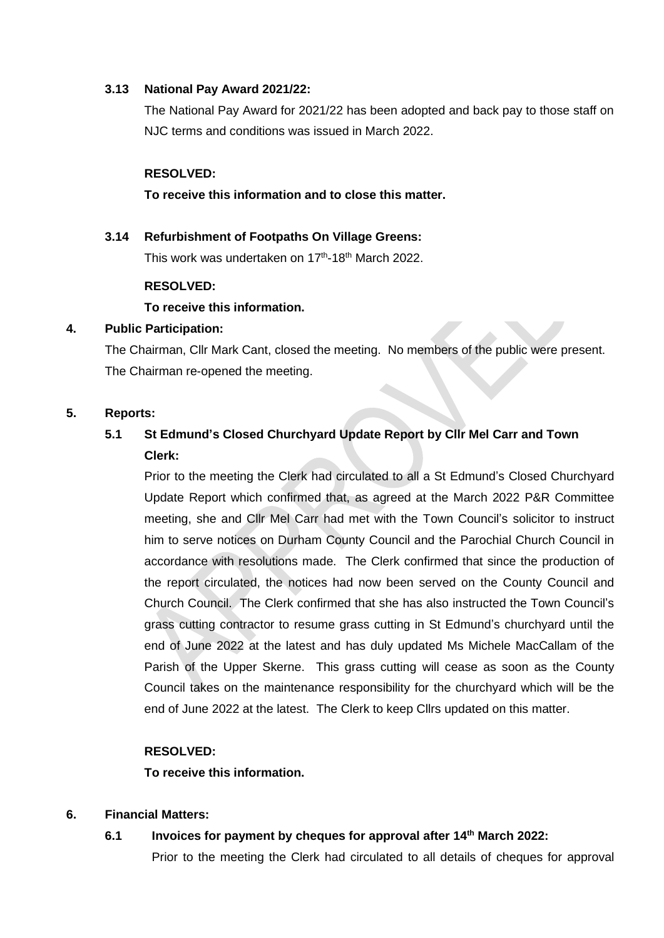### **3.13 National Pay Award 2021/22:**

The National Pay Award for 2021/22 has been adopted and back pay to those staff on NJC terms and conditions was issued in March 2022.

### **RESOLVED:**

### **To receive this information and to close this matter.**

## **3.14 Refurbishment of Footpaths On Village Greens:** This work was undertaken on 17<sup>th</sup>-18<sup>th</sup> March 2022.

### **RESOLVED:**

## **To receive this information.**

### **4. Public Participation:**

The Chairman, Cllr Mark Cant, closed the meeting. No members of the public were present. The Chairman re-opened the meeting.

### **5. Reports:**

## **5.1 St Edmund's Closed Churchyard Update Report by Cllr Mel Carr and Town Clerk:**

Prior to the meeting the Clerk had circulated to all a St Edmund's Closed Churchyard Update Report which confirmed that, as agreed at the March 2022 P&R Committee meeting, she and Cllr Mel Carr had met with the Town Council's solicitor to instruct him to serve notices on Durham County Council and the Parochial Church Council in accordance with resolutions made. The Clerk confirmed that since the production of the report circulated, the notices had now been served on the County Council and Church Council. The Clerk confirmed that she has also instructed the Town Council's grass cutting contractor to resume grass cutting in St Edmund's churchyard until the end of June 2022 at the latest and has duly updated Ms Michele MacCallam of the Parish of the Upper Skerne. This grass cutting will cease as soon as the County Council takes on the maintenance responsibility for the churchyard which will be the end of June 2022 at the latest. The Clerk to keep Cllrs updated on this matter.

### **RESOLVED:**

## **To receive this information.**

## **6. Financial Matters:**

## **6.1 Invoices for payment by cheques for approval after 14 th March 2022:**

Prior to the meeting the Clerk had circulated to all details of cheques for approval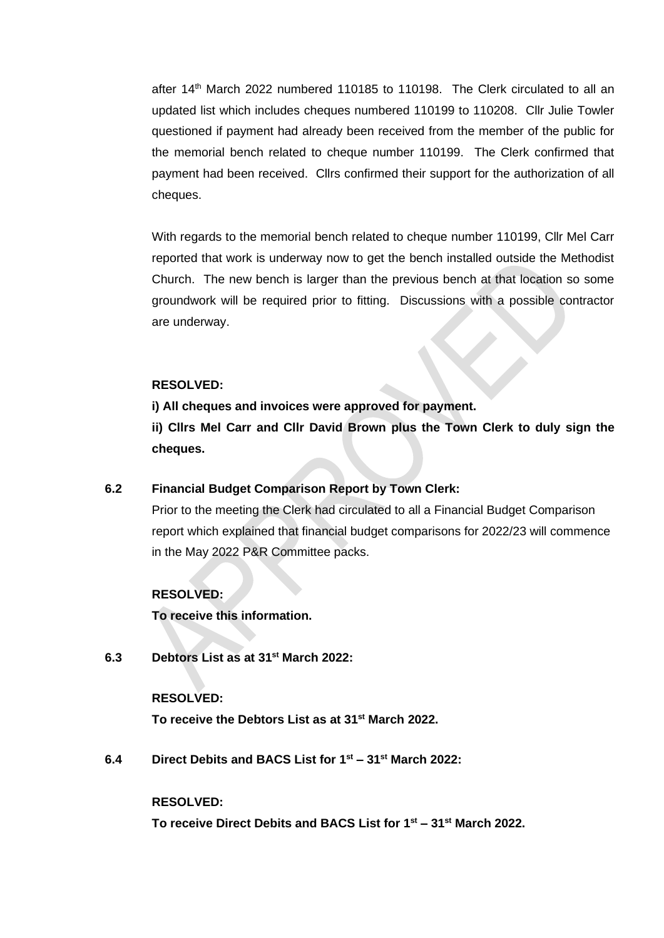after 14<sup>th</sup> March 2022 numbered 110185 to 110198. The Clerk circulated to all an updated list which includes cheques numbered 110199 to 110208. Cllr Julie Towler questioned if payment had already been received from the member of the public for the memorial bench related to cheque number 110199. The Clerk confirmed that payment had been received. Cllrs confirmed their support for the authorization of all cheques.

With regards to the memorial bench related to cheque number 110199, Cllr Mel Carr reported that work is underway now to get the bench installed outside the Methodist Church. The new bench is larger than the previous bench at that location so some groundwork will be required prior to fitting. Discussions with a possible contractor are underway.

### **RESOLVED:**

**i) All cheques and invoices were approved for payment.**

**ii) Cllrs Mel Carr and Cllr David Brown plus the Town Clerk to duly sign the cheques.**

#### **6.2 Financial Budget Comparison Report by Town Clerk:**

Prior to the meeting the Clerk had circulated to all a Financial Budget Comparison report which explained that financial budget comparisons for 2022/23 will commence in the May 2022 P&R Committee packs.

#### **RESOLVED:**

**To receive this information.**

**6.3 Debtors List as at 31st March 2022:**

#### **RESOLVED:**

**To receive the Debtors List as at 31st March 2022.**

**6.4 Direct Debits and BACS List for 1 st – 31st March 2022:**

#### **RESOLVED:**

**To receive Direct Debits and BACS List for 1 st – 31st March 2022.**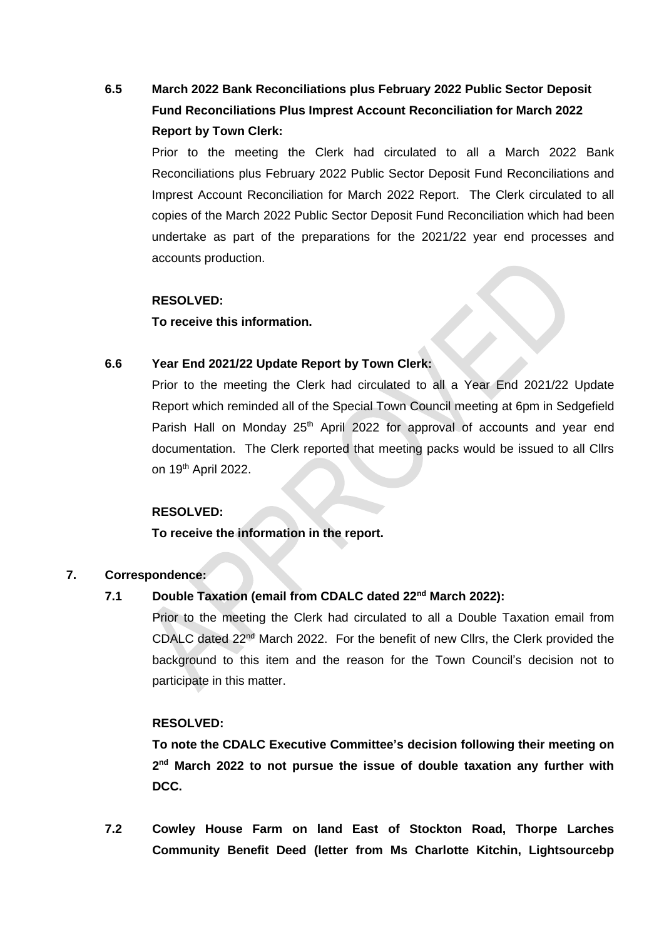## **6.5 March 2022 Bank Reconciliations plus February 2022 Public Sector Deposit Fund Reconciliations Plus Imprest Account Reconciliation for March 2022 Report by Town Clerk:**

Prior to the meeting the Clerk had circulated to all a March 2022 Bank Reconciliations plus February 2022 Public Sector Deposit Fund Reconciliations and Imprest Account Reconciliation for March 2022 Report. The Clerk circulated to all copies of the March 2022 Public Sector Deposit Fund Reconciliation which had been undertake as part of the preparations for the 2021/22 year end processes and accounts production.

### **RESOLVED:**

**To receive this information.** 

## **6.6 Year End 2021/22 Update Report by Town Clerk:**

Prior to the meeting the Clerk had circulated to all a Year End 2021/22 Update Report which reminded all of the Special Town Council meeting at 6pm in Sedgefield Parish Hall on Monday 25<sup>th</sup> April 2022 for approval of accounts and year end documentation. The Clerk reported that meeting packs would be issued to all Cllrs on 19<sup>th</sup> April 2022.

### **RESOLVED:**

**To receive the information in the report.**

## **7. Correspondence:**

## **7.1 Double Taxation (email from CDALC dated 22nd March 2022):**

Prior to the meeting the Clerk had circulated to all a Double Taxation email from CDALC dated  $22<sup>nd</sup>$  March 2022. For the benefit of new Cllrs, the Clerk provided the background to this item and the reason for the Town Council's decision not to participate in this matter.

## **RESOLVED:**

**To note the CDALC Executive Committee's decision following their meeting on 2 nd March 2022 to not pursue the issue of double taxation any further with DCC.** 

**7.2 Cowley House Farm on land East of Stockton Road, Thorpe Larches Community Benefit Deed (letter from Ms Charlotte Kitchin, Lightsourcebp**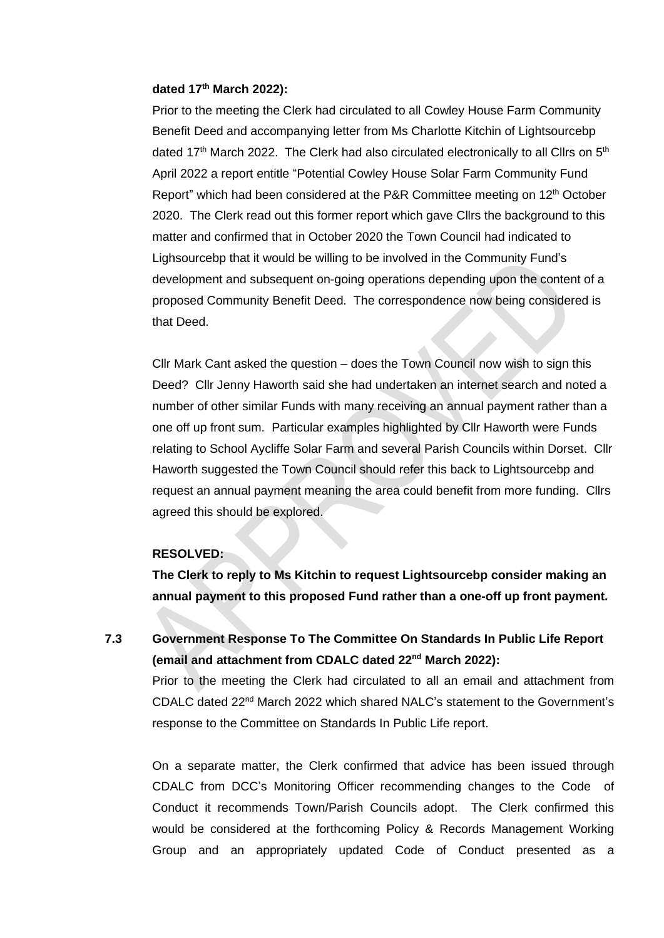#### **dated 17th March 2022):**

Prior to the meeting the Clerk had circulated to all Cowley House Farm Community Benefit Deed and accompanying letter from Ms Charlotte Kitchin of Lightsourcebp dated 17<sup>th</sup> March 2022. The Clerk had also circulated electronically to all Cllrs on  $5<sup>th</sup>$ April 2022 a report entitle "Potential Cowley House Solar Farm Community Fund Report" which had been considered at the P&R Committee meeting on 12<sup>th</sup> October 2020. The Clerk read out this former report which gave Cllrs the background to this matter and confirmed that in October 2020 the Town Council had indicated to Lighsourcebp that it would be willing to be involved in the Community Fund's development and subsequent on-going operations depending upon the content of a proposed Community Benefit Deed. The correspondence now being considered is that Deed.

Cllr Mark Cant asked the question – does the Town Council now wish to sign this Deed? Cllr Jenny Haworth said she had undertaken an internet search and noted a number of other similar Funds with many receiving an annual payment rather than a one off up front sum. Particular examples highlighted by Cllr Haworth were Funds relating to School Aycliffe Solar Farm and several Parish Councils within Dorset. Cllr Haworth suggested the Town Council should refer this back to Lightsourcebp and request an annual payment meaning the area could benefit from more funding. Cllrs agreed this should be explored.

### **RESOLVED:**

**The Clerk to reply to Ms Kitchin to request Lightsourcebp consider making an annual payment to this proposed Fund rather than a one-off up front payment.** 

**7.3 Government Response To The Committee On Standards In Public Life Report (email and attachment from CDALC dated 22nd March 2022):**

Prior to the meeting the Clerk had circulated to all an email and attachment from CDALC dated 22nd March 2022 which shared NALC's statement to the Government's response to the Committee on Standards In Public Life report.

On a separate matter, the Clerk confirmed that advice has been issued through CDALC from DCC's Monitoring Officer recommending changes to the Code of Conduct it recommends Town/Parish Councils adopt. The Clerk confirmed this would be considered at the forthcoming Policy & Records Management Working Group and an appropriately updated Code of Conduct presented as a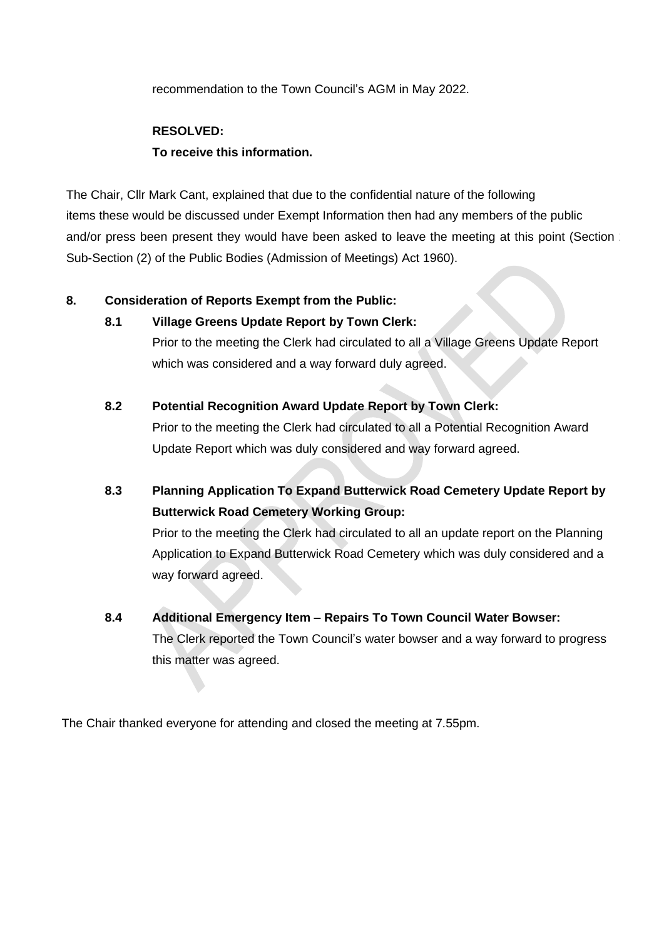recommendation to the Town Council's AGM in May 2022.

## **RESOLVED:**

### **To receive this information.**

The Chair, Cllr Mark Cant, explained that due to the confidential nature of the following items these would be discussed under Exempt Information then had any members of the public and/or press been present they would have been asked to leave the meeting at this point (Section 1 Sub-Section (2) of the Public Bodies (Admission of Meetings) Act 1960).

## **8. Consideration of Reports Exempt from the Public:**

## **8.1 Village Greens Update Report by Town Clerk:**

Prior to the meeting the Clerk had circulated to all a Village Greens Update Report which was considered and a way forward duly agreed.

## **8.2 Potential Recognition Award Update Report by Town Clerk:**

Prior to the meeting the Clerk had circulated to all a Potential Recognition Award Update Report which was duly considered and way forward agreed.

**8.3 Planning Application To Expand Butterwick Road Cemetery Update Report by Butterwick Road Cemetery Working Group:**

Prior to the meeting the Clerk had circulated to all an update report on the Planning Application to Expand Butterwick Road Cemetery which was duly considered and a way forward agreed.

**8.4 Additional Emergency Item – Repairs To Town Council Water Bowser:** The Clerk reported the Town Council's water bowser and a way forward to progress this matter was agreed.

The Chair thanked everyone for attending and closed the meeting at 7.55pm.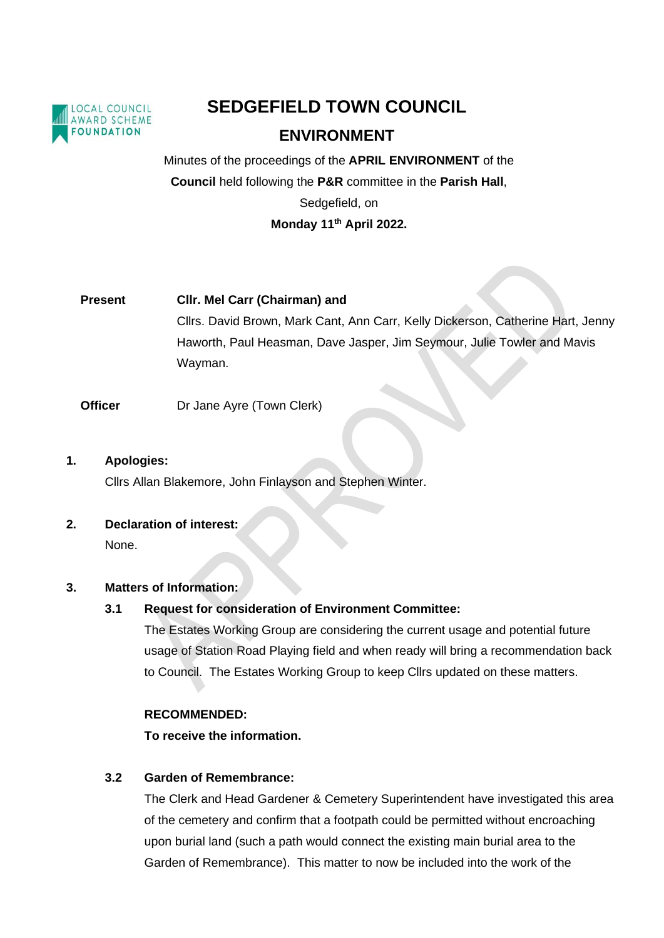

# **SEDGEFIELD TOWN COUNCIL**

## **ENVIRONMENT**

Minutes of the proceedings of the **APRIL ENVIRONMENT** of the **Council** held following the **P&R** committee in the **Parish Hall**, Sedgefield, on **Monday 11th April 2022.** 

# **Present Cllr. Mel Carr (Chairman) and** Cllrs. David Brown, Mark Cant, Ann Carr, Kelly Dickerson, Catherine Hart, Jenny Haworth, Paul Heasman, Dave Jasper, Jim Seymour, Julie Towler and Mavis Wayman.

### **Officer** Dr Jane Ayre (Town Clerk)

### **1. Apologies:**

Cllrs Allan Blakemore, John Finlayson and Stephen Winter.

## **2. Declaration of interest:**

None.

### **3. Matters of Information:**

## **3.1 Request for consideration of Environment Committee:**

The Estates Working Group are considering the current usage and potential future usage of Station Road Playing field and when ready will bring a recommendation back to Council. The Estates Working Group to keep Cllrs updated on these matters.

### **RECOMMENDED:**

**To receive the information.**

## **3.2 Garden of Remembrance:**

The Clerk and Head Gardener & Cemetery Superintendent have investigated this area of the cemetery and confirm that a footpath could be permitted without encroaching upon burial land (such a path would connect the existing main burial area to the Garden of Remembrance). This matter to now be included into the work of the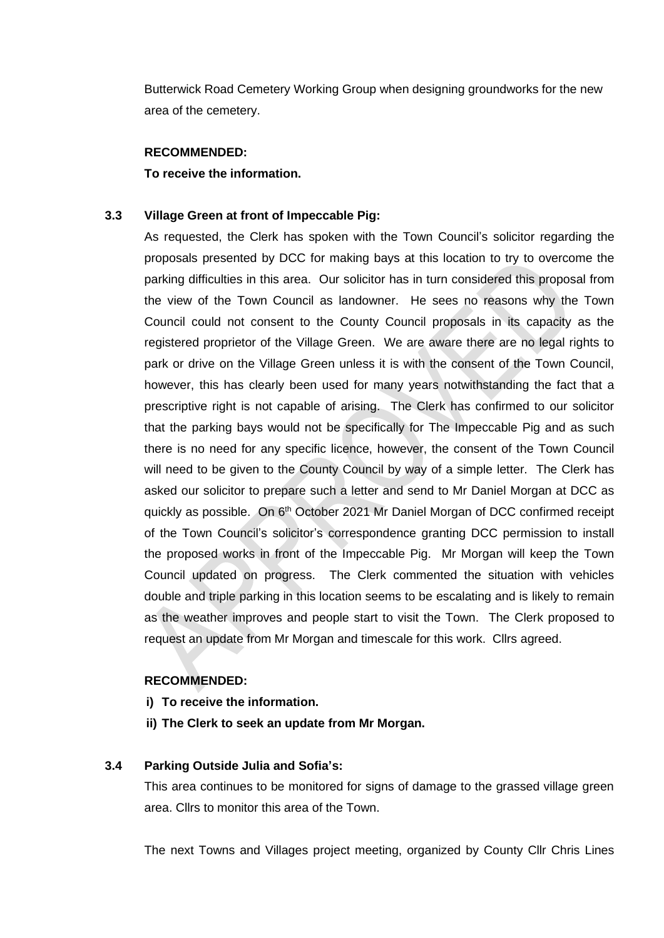Butterwick Road Cemetery Working Group when designing groundworks for the new area of the cemetery.

#### **RECOMMENDED:**

**To receive the information.**

### **3.3 Village Green at front of Impeccable Pig:**

As requested, the Clerk has spoken with the Town Council's solicitor regarding the proposals presented by DCC for making bays at this location to try to overcome the parking difficulties in this area. Our solicitor has in turn considered this proposal from the view of the Town Council as landowner. He sees no reasons why the Town Council could not consent to the County Council proposals in its capacity as the registered proprietor of the Village Green. We are aware there are no legal rights to park or drive on the Village Green unless it is with the consent of the Town Council, however, this has clearly been used for many years notwithstanding the fact that a prescriptive right is not capable of arising. The Clerk has confirmed to our solicitor that the parking bays would not be specifically for The Impeccable Pig and as such there is no need for any specific licence, however, the consent of the Town Council will need to be given to the County Council by way of a simple letter. The Clerk has asked our solicitor to prepare such a letter and send to Mr Daniel Morgan at DCC as quickly as possible. On 6<sup>th</sup> October 2021 Mr Daniel Morgan of DCC confirmed receipt of the Town Council's solicitor's correspondence granting DCC permission to install the proposed works in front of the Impeccable Pig. Mr Morgan will keep the Town Council updated on progress. The Clerk commented the situation with vehicles double and triple parking in this location seems to be escalating and is likely to remain as the weather improves and people start to visit the Town. The Clerk proposed to request an update from Mr Morgan and timescale for this work. Cllrs agreed.

### **RECOMMENDED:**

- **i) To receive the information.**
- **ii) The Clerk to seek an update from Mr Morgan.**

### **3.4 Parking Outside Julia and Sofia's:**

This area continues to be monitored for signs of damage to the grassed village green area. Cllrs to monitor this area of the Town.

The next Towns and Villages project meeting, organized by County Cllr Chris Lines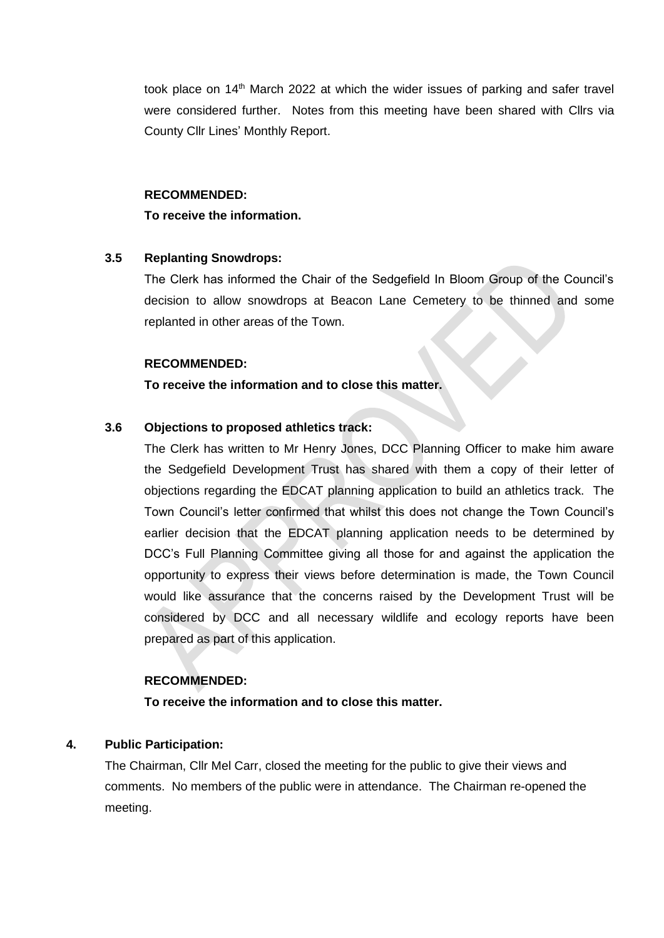took place on 14<sup>th</sup> March 2022 at which the wider issues of parking and safer travel were considered further. Notes from this meeting have been shared with Cllrs via County Cllr Lines' Monthly Report.

#### **RECOMMENDED:**

#### **To receive the information.**

### **3.5 Replanting Snowdrops:**

The Clerk has informed the Chair of the Sedgefield In Bloom Group of the Council's decision to allow snowdrops at Beacon Lane Cemetery to be thinned and some replanted in other areas of the Town.

### **RECOMMENDED:**

### **To receive the information and to close this matter.**

### **3.6 Objections to proposed athletics track:**

The Clerk has written to Mr Henry Jones, DCC Planning Officer to make him aware the Sedgefield Development Trust has shared with them a copy of their letter of objections regarding the EDCAT planning application to build an athletics track. The Town Council's letter confirmed that whilst this does not change the Town Council's earlier decision that the EDCAT planning application needs to be determined by DCC's Full Planning Committee giving all those for and against the application the opportunity to express their views before determination is made, the Town Council would like assurance that the concerns raised by the Development Trust will be considered by DCC and all necessary wildlife and ecology reports have been prepared as part of this application.

### **RECOMMENDED:**

**To receive the information and to close this matter.**

### **4. Public Participation:**

The Chairman, Cllr Mel Carr, closed the meeting for the public to give their views and comments. No members of the public were in attendance. The Chairman re-opened the meeting.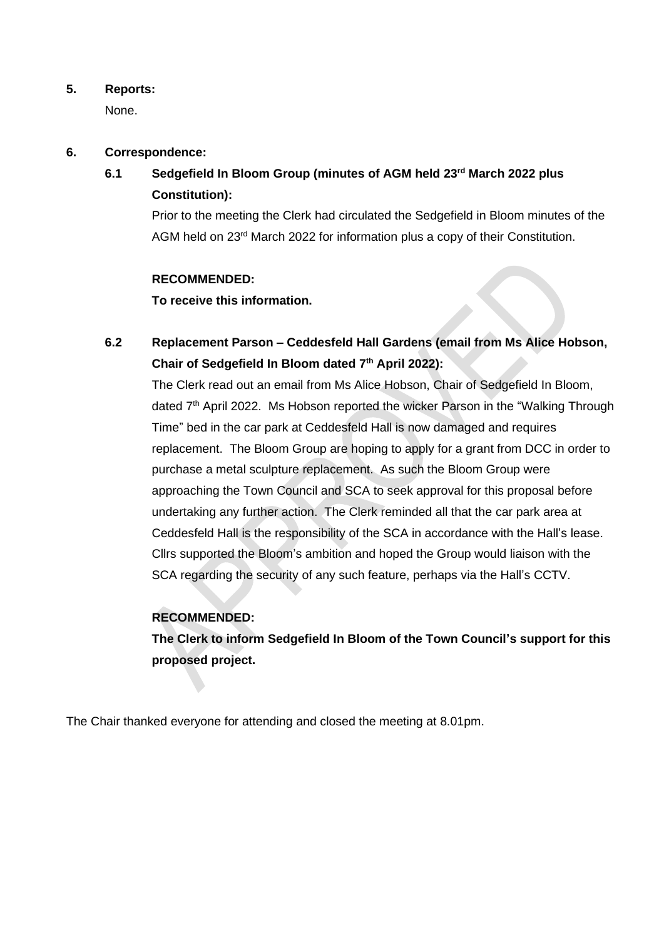### **5. Reports:**

None.

### **6. Correspondence:**

**6.1 Sedgefield In Bloom Group (minutes of AGM held 23rd March 2022 plus Constitution):**

Prior to the meeting the Clerk had circulated the Sedgefield in Bloom minutes of the AGM held on 23<sup>rd</sup> March 2022 for information plus a copy of their Constitution.

### **RECOMMENDED:**

**To receive this information.**

## **6.2 Replacement Parson – Ceddesfeld Hall Gardens (email from Ms Alice Hobson, Chair of Sedgefield In Bloom dated 7th April 2022):**

The Clerk read out an email from Ms Alice Hobson, Chair of Sedgefield In Bloom, dated 7<sup>th</sup> April 2022. Ms Hobson reported the wicker Parson in the "Walking Through Time" bed in the car park at Ceddesfeld Hall is now damaged and requires replacement. The Bloom Group are hoping to apply for a grant from DCC in order to purchase a metal sculpture replacement. As such the Bloom Group were approaching the Town Council and SCA to seek approval for this proposal before undertaking any further action. The Clerk reminded all that the car park area at Ceddesfeld Hall is the responsibility of the SCA in accordance with the Hall's lease. Cllrs supported the Bloom's ambition and hoped the Group would liaison with the SCA regarding the security of any such feature, perhaps via the Hall's CCTV.

## **RECOMMENDED:**

**The Clerk to inform Sedgefield In Bloom of the Town Council's support for this proposed project.**

The Chair thanked everyone for attending and closed the meeting at 8.01pm.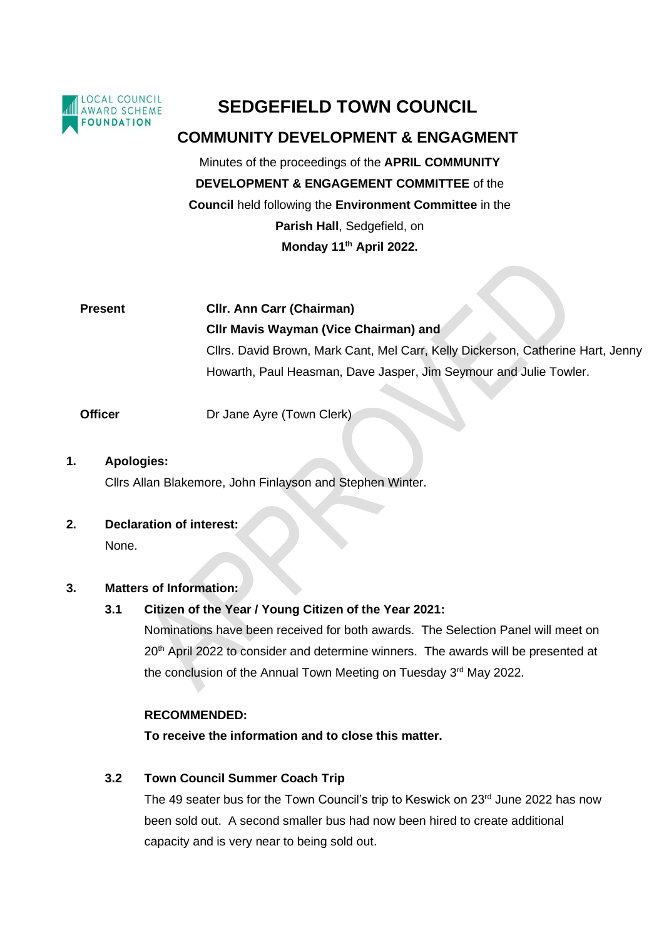

# **SEDGEFIELD TOWN COUNCIL**

## **COMMUNITY DEVELOPMENT & ENGAGMENT**

Minutes of the proceedings of the **APRIL COMMUNITY DEVELOPMENT & ENGAGEMENT COMMITTEE** of the **Council** held following the **Environment Committee** in the **Parish Hall**, Sedgefield, on

**Monday 11th April 2022.**

**Present Cllr. Ann Carr (Chairman) Cllr Mavis Wayman (Vice Chairman) and** Cllrs. David Brown, Mark Cant, Mel Carr, Kelly Dickerson, Catherine Hart, Jenny Howarth, Paul Heasman, Dave Jasper, Jim Seymour and Julie Towler.

**Officer Dr Jane Ayre (Town Clerk)** 

## **1. Apologies:** Cllrs Allan Blakemore, John Finlayson and Stephen Winter.

## **2. Declaration of interest:**

None.

## **3. Matters of Information:**

## **3.1 Citizen of the Year / Young Citizen of the Year 2021:**

Nominations have been received for both awards. The Selection Panel will meet on 20<sup>th</sup> April 2022 to consider and determine winners. The awards will be presented at the conclusion of the Annual Town Meeting on Tuesday 3<sup>rd</sup> May 2022.

## **RECOMMENDED:**

**To receive the information and to close this matter.**

## **3.2 Town Council Summer Coach Trip**

The 49 seater bus for the Town Council's trip to Keswick on 23rd June 2022 has now been sold out. A second smaller bus had now been hired to create additional capacity and is very near to being sold out.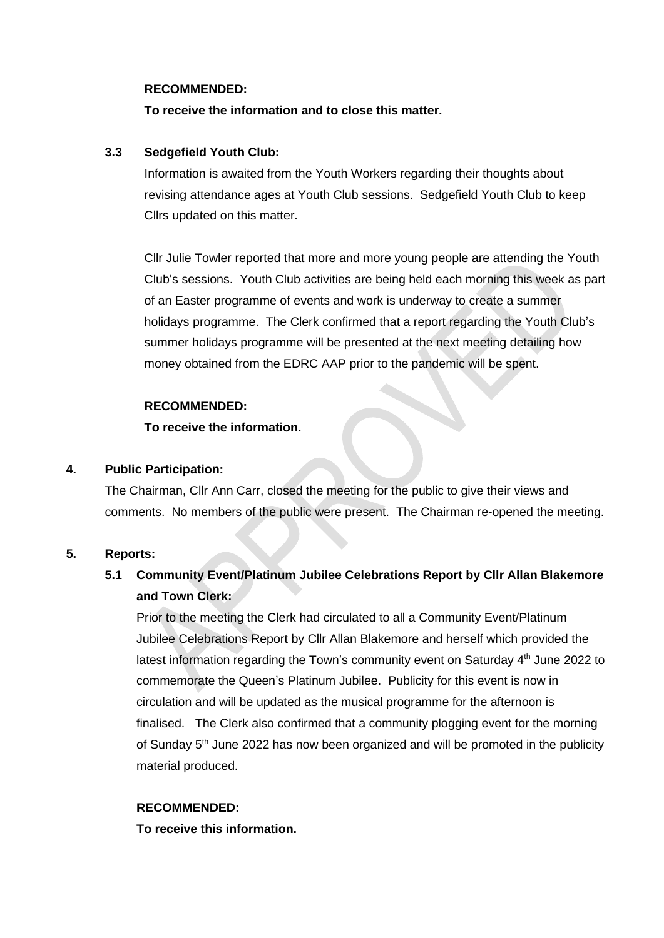#### **RECOMMENDED:**

### **To receive the information and to close this matter.**

### **3.3 Sedgefield Youth Club:**

Information is awaited from the Youth Workers regarding their thoughts about revising attendance ages at Youth Club sessions. Sedgefield Youth Club to keep Cllrs updated on this matter.

Cllr Julie Towler reported that more and more young people are attending the Youth Club's sessions. Youth Club activities are being held each morning this week as part of an Easter programme of events and work is underway to create a summer holidays programme. The Clerk confirmed that a report regarding the Youth Club's summer holidays programme will be presented at the next meeting detailing how money obtained from the EDRC AAP prior to the pandemic will be spent.

### **RECOMMENDED:**

### **To receive the information.**

### **4. Public Participation:**

The Chairman, Cllr Ann Carr, closed the meeting for the public to give their views and comments. No members of the public were present. The Chairman re-opened the meeting.

### **5. Reports:**

## **5.1 Community Event/Platinum Jubilee Celebrations Report by Cllr Allan Blakemore and Town Clerk:**

Prior to the meeting the Clerk had circulated to all a Community Event/Platinum Jubilee Celebrations Report by Cllr Allan Blakemore and herself which provided the latest information regarding the Town's community event on Saturday 4<sup>th</sup> June 2022 to commemorate the Queen's Platinum Jubilee. Publicity for this event is now in circulation and will be updated as the musical programme for the afternoon is finalised. The Clerk also confirmed that a community plogging event for the morning of Sunday 5<sup>th</sup> June 2022 has now been organized and will be promoted in the publicity material produced.

## **RECOMMENDED:**

**To receive this information.**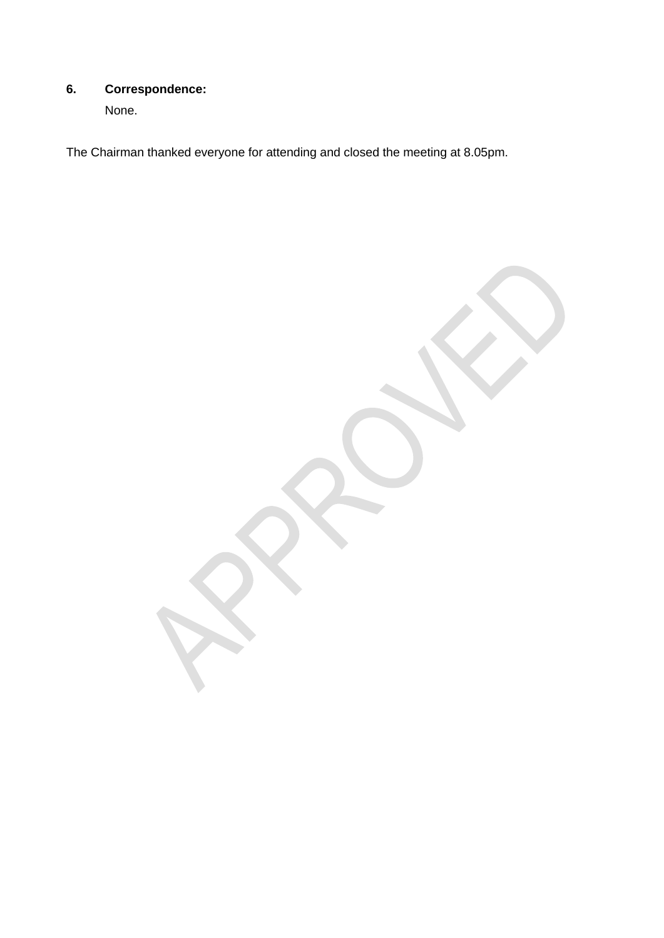## **6. Correspondence:**

None.

The Chairman thanked everyone for attending and closed the meeting at 8.05pm.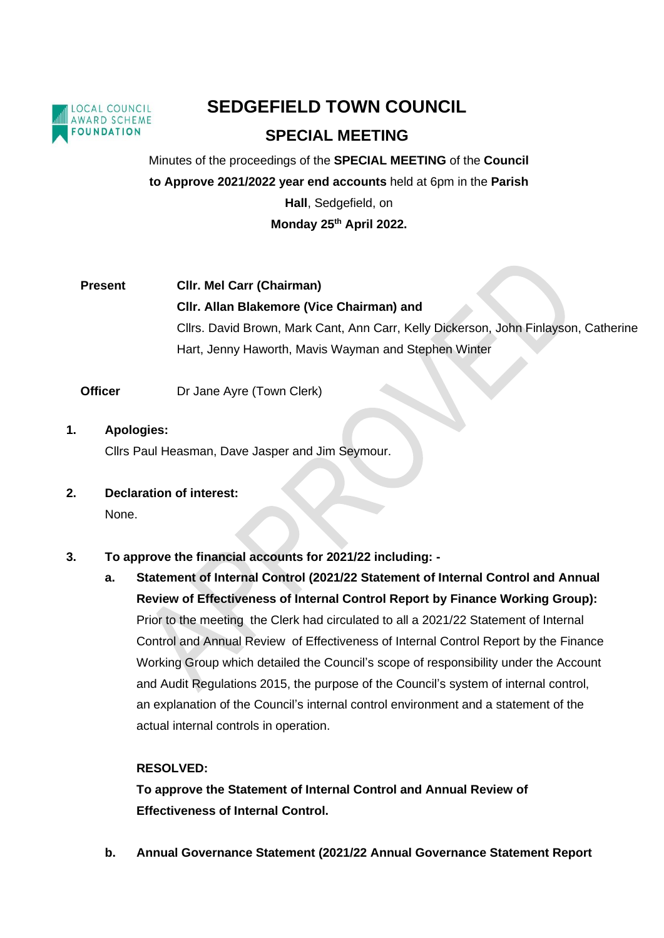

# **SEDGEFIELD TOWN COUNCIL SPECIAL MEETING**

Minutes of the proceedings of the **SPECIAL MEETING** of the **Council to Approve 2021/2022 year end accounts** held at 6pm in the **Parish Hall**, Sedgefield, on **Monday 25 th April 2022.** 

**Present Cllr. Mel Carr (Chairman) Cllr. Allan Blakemore (Vice Chairman) and** Cllrs. David Brown, Mark Cant, Ann Carr, Kelly Dickerson, John Finlayson, Catherine Hart, Jenny Haworth, Mavis Wayman and Stephen Winter

**Officer** Dr Jane Ayre (Town Clerk)

- **1. Apologies:** Cllrs Paul Heasman, Dave Jasper and Jim Seymour.
- **2. Declaration of interest:**

None.

- **3. To approve the financial accounts for 2021/22 including:** 
	- **a. Statement of Internal Control (2021/22 Statement of Internal Control and Annual Review of Effectiveness of Internal Control Report by Finance Working Group):** Prior to the meeting the Clerk had circulated to all a 2021/22 Statement of Internal Control and Annual Review of Effectiveness of Internal Control Report by the Finance Working Group which detailed the Council's scope of responsibility under the Account and Audit Regulations 2015, the purpose of the Council's system of internal control, an explanation of the Council's internal control environment and a statement of the actual internal controls in operation.

## **RESOLVED:**

**To approve the Statement of Internal Control and Annual Review of Effectiveness of Internal Control.**

**b. Annual Governance Statement (2021/22 Annual Governance Statement Report**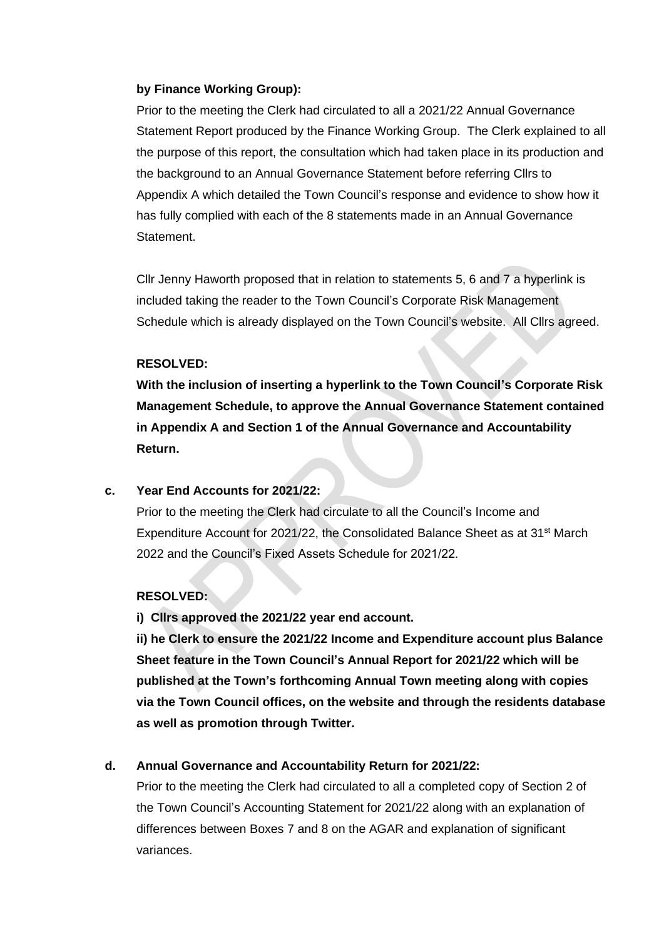### **by Finance Working Group):**

Prior to the meeting the Clerk had circulated to all a 2021/22 Annual Governance Statement Report produced by the Finance Working Group. The Clerk explained to all the purpose of this report, the consultation which had taken place in its production and the background to an Annual Governance Statement before referring Cllrs to Appendix A which detailed the Town Council's response and evidence to show how it has fully complied with each of the 8 statements made in an Annual Governance Statement.

Cllr Jenny Haworth proposed that in relation to statements 5, 6 and 7 a hyperlink is included taking the reader to the Town Council's Corporate Risk Management Schedule which is already displayed on the Town Council's website. All Cllrs agreed.

### **RESOLVED:**

**With the inclusion of inserting a hyperlink to the Town Council's Corporate Risk Management Schedule, to approve the Annual Governance Statement contained in Appendix A and Section 1 of the Annual Governance and Accountability Return.** 

### **c. Year End Accounts for 2021/22:**

Prior to the meeting the Clerk had circulate to all the Council's Income and Expenditure Account for 2021/22, the Consolidated Balance Sheet as at  $31<sup>st</sup>$  March 2022 and the Council's Fixed Assets Schedule for 2021/22.

## **RESOLVED:**

**i) Cllrs approved the 2021/22 year end account.** 

**ii) he Clerk to ensure the 2021/22 Income and Expenditure account plus Balance Sheet feature in the Town Council's Annual Report for 2021/22 which will be published at the Town's forthcoming Annual Town meeting along with copies via the Town Council offices, on the website and through the residents database as well as promotion through Twitter.** 

### **d. Annual Governance and Accountability Return for 2021/22:**

Prior to the meeting the Clerk had circulated to all a completed copy of Section 2 of the Town Council's Accounting Statement for 2021/22 along with an explanation of differences between Boxes 7 and 8 on the AGAR and explanation of significant variances.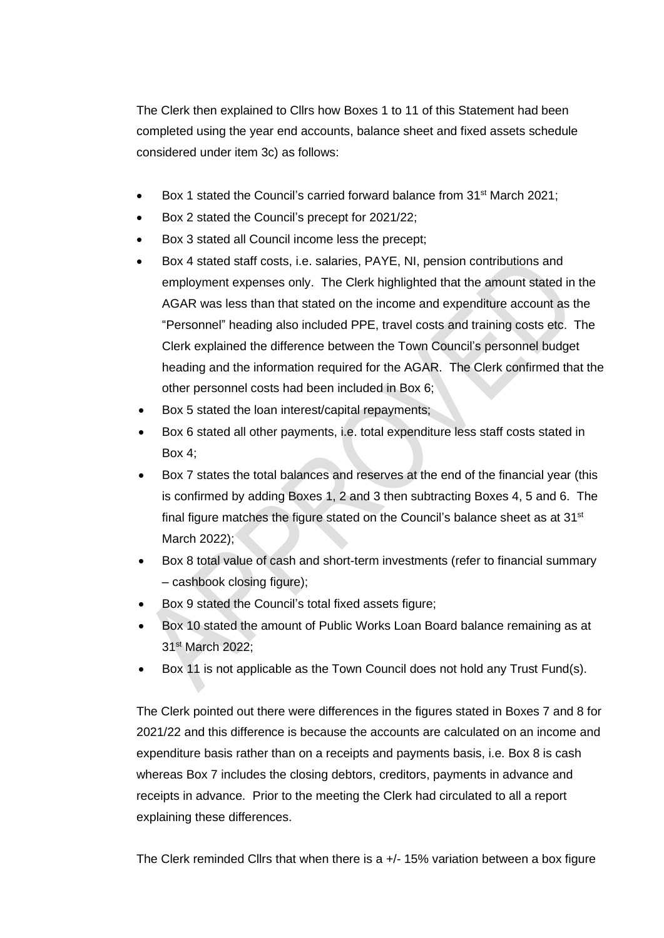The Clerk then explained to Cllrs how Boxes 1 to 11 of this Statement had been completed using the year end accounts, balance sheet and fixed assets schedule considered under item 3c) as follows:

- Box 1 stated the Council's carried forward balance from 31<sup>st</sup> March 2021;
- Box 2 stated the Council's precept for 2021/22;
- Box 3 stated all Council income less the precept;
- Box 4 stated staff costs, i.e. salaries, PAYE, NI, pension contributions and employment expenses only. The Clerk highlighted that the amount stated in the AGAR was less than that stated on the income and expenditure account as the "Personnel" heading also included PPE, travel costs and training costs etc. The Clerk explained the difference between the Town Council's personnel budget heading and the information required for the AGAR. The Clerk confirmed that the other personnel costs had been included in Box 6;
- Box 5 stated the loan interest/capital repayments;
- Box 6 stated all other payments, i.e. total expenditure less staff costs stated in Box 4;
- Box 7 states the total balances and reserves at the end of the financial year (this is confirmed by adding Boxes 1, 2 and 3 then subtracting Boxes 4, 5 and 6. The final figure matches the figure stated on the Council's balance sheet as at 31<sup>st</sup> March 2022);
- Box 8 total value of cash and short-term investments (refer to financial summary – cashbook closing figure);
- Box 9 stated the Council's total fixed assets figure;
- Box 10 stated the amount of Public Works Loan Board balance remaining as at 31st March 2022;
- Box 11 is not applicable as the Town Council does not hold any Trust Fund(s).

The Clerk pointed out there were differences in the figures stated in Boxes 7 and 8 for 2021/22 and this difference is because the accounts are calculated on an income and expenditure basis rather than on a receipts and payments basis, i.e. Box 8 is cash whereas Box 7 includes the closing debtors, creditors, payments in advance and receipts in advance. Prior to the meeting the Clerk had circulated to all a report explaining these differences.

The Clerk reminded Cllrs that when there is a  $+/-$  15% variation between a box figure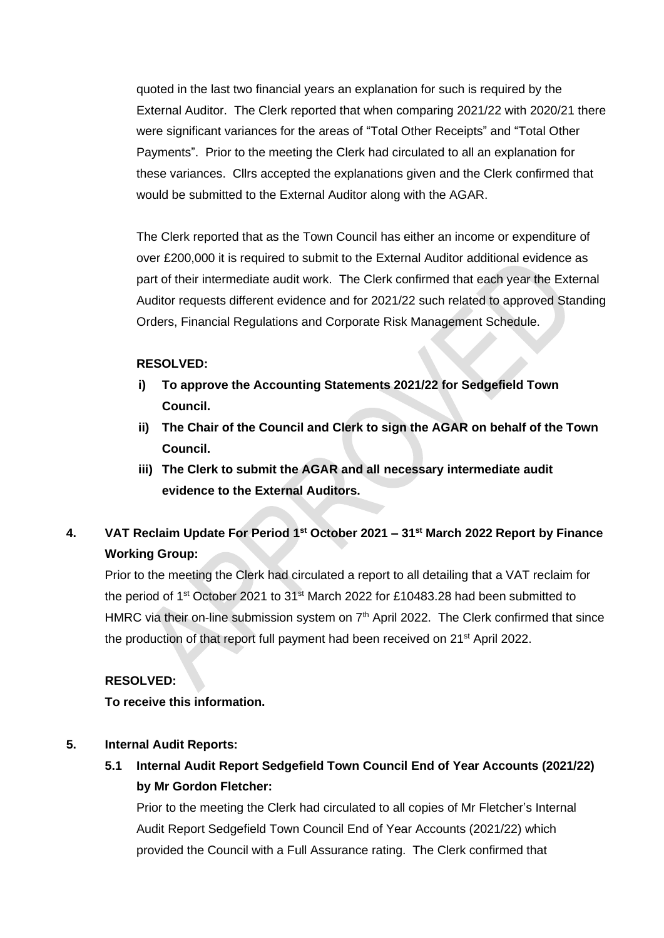quoted in the last two financial years an explanation for such is required by the External Auditor. The Clerk reported that when comparing 2021/22 with 2020/21 there were significant variances for the areas of "Total Other Receipts" and "Total Other Payments". Prior to the meeting the Clerk had circulated to all an explanation for these variances. Cllrs accepted the explanations given and the Clerk confirmed that would be submitted to the External Auditor along with the AGAR.

The Clerk reported that as the Town Council has either an income or expenditure of over £200,000 it is required to submit to the External Auditor additional evidence as part of their intermediate audit work. The Clerk confirmed that each year the External Auditor requests different evidence and for 2021/22 such related to approved Standing Orders, Financial Regulations and Corporate Risk Management Schedule.

## **RESOLVED:**

- **i) To approve the Accounting Statements 2021/22 for Sedgefield Town Council.**
- **ii) The Chair of the Council and Clerk to sign the AGAR on behalf of the Town Council.**
- **iii) The Clerk to submit the AGAR and all necessary intermediate audit evidence to the External Auditors.**
- **4. VAT Reclaim Update For Period 1st October 2021 – 31st March 2022 Report by Finance Working Group:**

Prior to the meeting the Clerk had circulated a report to all detailing that a VAT reclaim for the period of 1st October 2021 to 31st March 2022 for £10483.28 had been submitted to HMRC via their on-line submission system on  $7<sup>th</sup>$  April 2022. The Clerk confirmed that since the production of that report full payment had been received on 21<sup>st</sup> April 2022.

## **RESOLVED:**

**To receive this information.**

## **5. Internal Audit Reports:**

**5.1 Internal Audit Report Sedgefield Town Council End of Year Accounts (2021/22) by Mr Gordon Fletcher:**

Prior to the meeting the Clerk had circulated to all copies of Mr Fletcher's Internal Audit Report Sedgefield Town Council End of Year Accounts (2021/22) which provided the Council with a Full Assurance rating. The Clerk confirmed that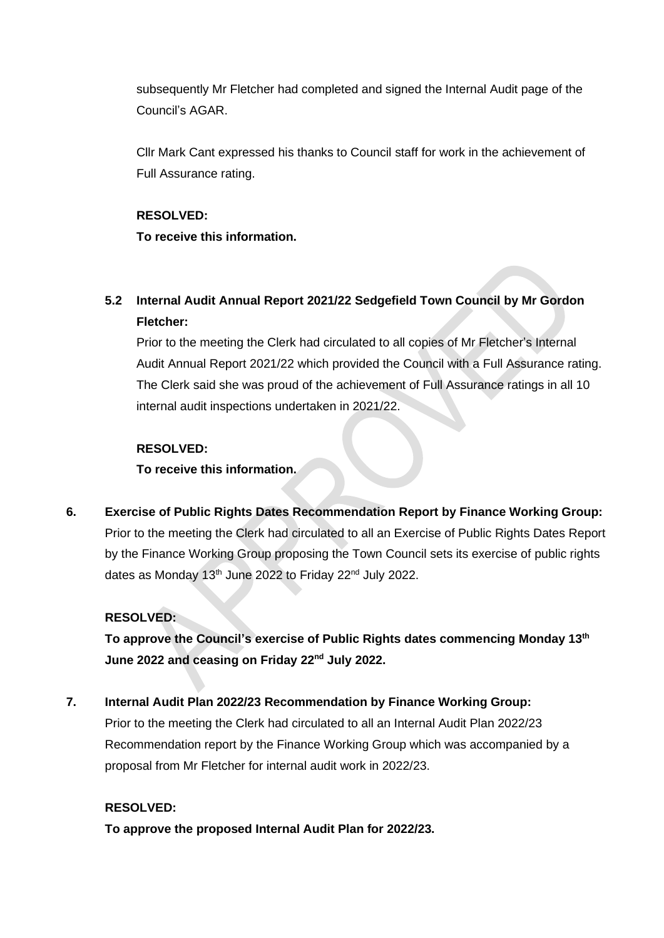subsequently Mr Fletcher had completed and signed the Internal Audit page of the Council's AGAR.

Cllr Mark Cant expressed his thanks to Council staff for work in the achievement of Full Assurance rating.

## **RESOLVED: To receive this information.**

## **5.2 Internal Audit Annual Report 2021/22 Sedgefield Town Council by Mr Gordon Fletcher:**

Prior to the meeting the Clerk had circulated to all copies of Mr Fletcher's Internal Audit Annual Report 2021/22 which provided the Council with a Full Assurance rating. The Clerk said she was proud of the achievement of Full Assurance ratings in all 10 internal audit inspections undertaken in 2021/22.

## **RESOLVED:**

**To receive this information.**

**6. Exercise of Public Rights Dates Recommendation Report by Finance Working Group:** Prior to the meeting the Clerk had circulated to all an Exercise of Public Rights Dates Report by the Finance Working Group proposing the Town Council sets its exercise of public rights dates as Monday 13<sup>th</sup> June 2022 to Friday 22<sup>nd</sup> July 2022.

## **RESOLVED:**

**To approve the Council's exercise of Public Rights dates commencing Monday 13th June 2022 and ceasing on Friday 22nd July 2022.** 

## **7. Internal Audit Plan 2022/23 Recommendation by Finance Working Group:**

Prior to the meeting the Clerk had circulated to all an Internal Audit Plan 2022/23 Recommendation report by the Finance Working Group which was accompanied by a proposal from Mr Fletcher for internal audit work in 2022/23.

## **RESOLVED:**

**To approve the proposed Internal Audit Plan for 2022/23.**